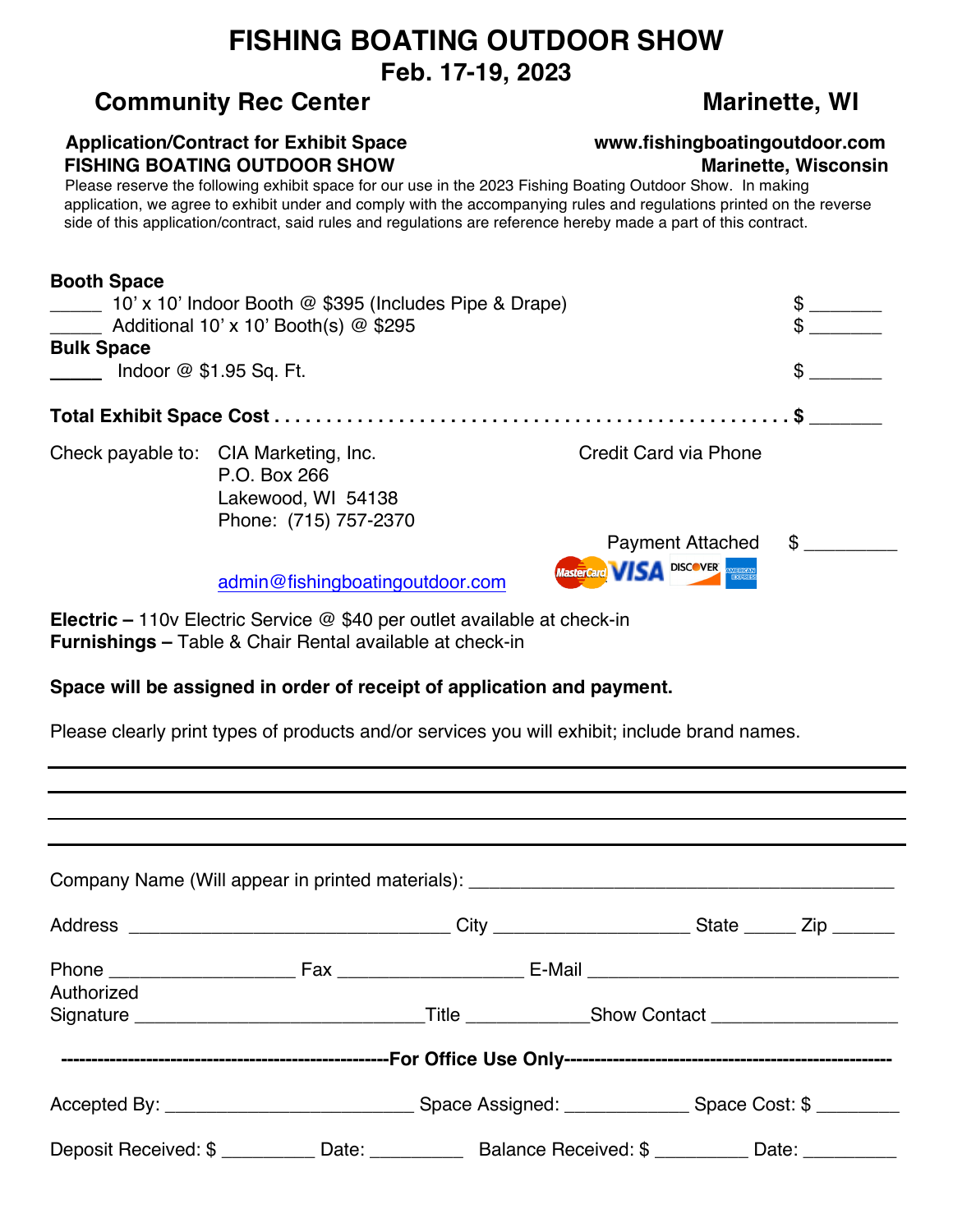## **FISHING BOATING OUTDOOR SHOW Feb. 17-19, 2023**

## **Community Rec Center Marinette, WI**

## **Application/Contract for Exhibit Space www.fishingboatingoutdoor.com FISHING BOATING OUTDOOR SHOW Marinette, Wisconsin**

Please reserve the following exhibit space for our use in the 2023 Fishing Boating Outdoor Show. In making application, we agree to exhibit under and comply with the accompanying rules and regulations printed on the reverse side of this application/contract, said rules and regulations are reference hereby made a part of this contract.

| <b>Booth Space</b>                                                                            |                                                                                                      |                                                                                              |                                         |
|-----------------------------------------------------------------------------------------------|------------------------------------------------------------------------------------------------------|----------------------------------------------------------------------------------------------|-----------------------------------------|
| $\frac{1}{2}$ 10' x 10' Indoor Booth @ \$395 (Includes Pipe & Drape)                          |                                                                                                      |                                                                                              |                                         |
| $\frac{1}{2}$ Additional 10' x 10' Booth(s) @ \$295<br><b>Bulk Space</b>                      |                                                                                                      |                                                                                              |                                         |
| $\frac{1}{2}$ Indoor @ \$1.95 Sq. Ft.                                                         |                                                                                                      |                                                                                              | $\frac{1}{2}$                           |
|                                                                                               |                                                                                                      |                                                                                              |                                         |
|                                                                                               | Check payable to: CIA Marketing, Inc.<br>P.O. Box 266<br>Lakewood, WI 54138<br>Phone: (715) 757-2370 |                                                                                              | <b>Credit Card via Phone</b>            |
|                                                                                               |                                                                                                      |                                                                                              | $\mathbb{S}$<br><b>Payment Attached</b> |
|                                                                                               | admin@fishingboatingoutdoor.com                                                                      |                                                                                              | Mastercard VISTA DISCOVER MEETING       |
|                                                                                               | <b>Furnishings - Table &amp; Chair Rental available at check-in</b>                                  | <b>Electric</b> – 110v Electric Service $\circledcirc$ \$40 per outlet available at check-in |                                         |
|                                                                                               |                                                                                                      | Space will be assigned in order of receipt of application and payment.                       |                                         |
| Please clearly print types of products and/or services you will exhibit; include brand names. |                                                                                                      |                                                                                              |                                         |
|                                                                                               |                                                                                                      |                                                                                              |                                         |
|                                                                                               |                                                                                                      |                                                                                              |                                         |
|                                                                                               |                                                                                                      | Company Name (Will appear in printed materials): ________________________________            |                                         |
|                                                                                               |                                                                                                      |                                                                                              |                                         |
|                                                                                               |                                                                                                      |                                                                                              |                                         |
| Authorized                                                                                    |                                                                                                      |                                                                                              |                                         |
|                                                                                               |                                                                                                      |                                                                                              |                                         |
|                                                                                               |                                                                                                      |                                                                                              |                                         |
|                                                                                               |                                                                                                      |                                                                                              |                                         |

Deposit Received: \$ \_\_\_\_\_\_\_\_\_ Date: \_\_\_\_\_\_\_\_\_\_ Balance Received: \$ \_\_\_\_\_\_\_\_ Date: \_\_\_\_\_\_